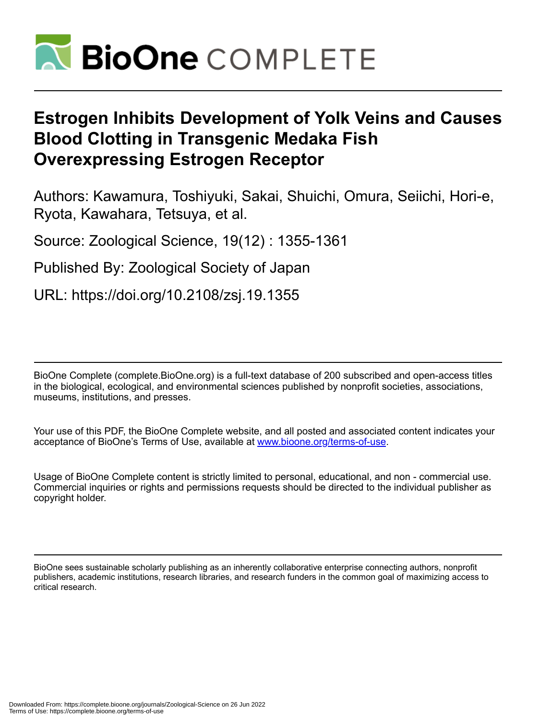

# **Estrogen Inhibits Development of Yolk Veins and Causes Blood Clotting in Transgenic Medaka Fish Overexpressing Estrogen Receptor**

Authors: Kawamura, Toshiyuki, Sakai, Shuichi, Omura, Seiichi, Hori-e, Ryota, Kawahara, Tetsuya, et al.

Source: Zoological Science, 19(12) : 1355-1361

Published By: Zoological Society of Japan

URL: https://doi.org/10.2108/zsj.19.1355

BioOne Complete (complete.BioOne.org) is a full-text database of 200 subscribed and open-access titles in the biological, ecological, and environmental sciences published by nonprofit societies, associations, museums, institutions, and presses.

Your use of this PDF, the BioOne Complete website, and all posted and associated content indicates your acceptance of BioOne's Terms of Use, available at www.bioone.org/terms-of-use.

Usage of BioOne Complete content is strictly limited to personal, educational, and non - commercial use. Commercial inquiries or rights and permissions requests should be directed to the individual publisher as copyright holder.

BioOne sees sustainable scholarly publishing as an inherently collaborative enterprise connecting authors, nonprofit publishers, academic institutions, research libraries, and research funders in the common goal of maximizing access to critical research.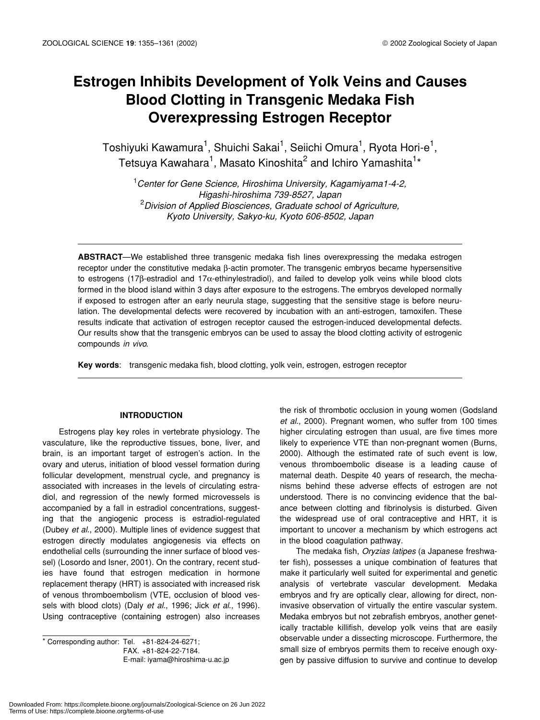# **Estrogen Inhibits Development of Yolk Veins and Causes Blood Clotting in Transgenic Medaka Fish Overexpressing Estrogen Receptor**

Toshiyuki Kawamura<sup>1</sup>, Shuichi Sakai<sup>1</sup>, Seiichi Omura<sup>1</sup>, Ryota Hori-e<sup>1</sup>, Tetsuya Kawahara<sup>1</sup>, Masato Kinoshita<sup>2</sup> and Ichiro Yamashita<sup>1</sup>\*

1 *Center for Gene Science, Hiroshima University, Kagamiyama1-4-2, Higashi-hiroshima 739-8527, Japan* 2 *Division of Applied Biosciences, Graduate school of Agriculture, Kyoto University, Sakyo-ku, Kyoto 606-8502, Japan*

**ABSTRACT**—We established three transgenic medaka fish lines overexpressing the medaka estrogen receptor under the constitutive medaka β-actin promoter. The transgenic embryos became hypersensitive to estrogens (17β-estradiol and 17α-ethinylestradiol), and failed to develop yolk veins while blood clots formed in the blood island within 3 days after exposure to the estrogens. The embryos developed normally if exposed to estrogen after an early neurula stage, suggesting that the sensitive stage is before neurulation. The developmental defects were recovered by incubation with an anti-estrogen, tamoxifen. These results indicate that activation of estrogen receptor caused the estrogen-induced developmental defects. Our results show that the transgenic embryos can be used to assay the blood clotting activity of estrogenic compounds *in vivo*.

**Key words**: transgenic medaka fish, blood clotting, yolk vein, estrogen, estrogen receptor

# **INTRODUCTION**

Estrogens play key roles in vertebrate physiology. The vasculature, like the reproductive tissues, bone, liver, and brain, is an important target of estrogen's action. In the ovary and uterus, initiation of blood vessel formation during follicular development, menstrual cycle, and pregnancy is associated with increases in the levels of circulating estradiol, and regression of the newly formed microvessels is accompanied by a fall in estradiol concentrations, suggesting that the angiogenic process is estradiol-regulated (Dubey *et al*., 2000). Multiple lines of evidence suggest that estrogen directly modulates angiogenesis via effects on endothelial cells (surrounding the inner surface of blood vessel) (Losordo and Isner, 2001). On the contrary, recent studies have found that estrogen medication in hormone replacement therapy (HRT) is associated with increased risk of venous thromboembolism (VTE, occlusion of blood vessels with blood clots) (Daly *et al*., 1996; Jick *et al*., 1996). Using contraceptive (containing estrogen) also increases

\* Corresponding author: Tel. +81-824-24-6271; FAX. +81-824-22-7184. E-mail: iyama@hiroshima-u.ac.jp the risk of thrombotic occlusion in young women (Godsland *et al*., 2000). Pregnant women, who suffer from 100 times higher circulating estrogen than usual, are five times more likely to experience VTE than non-pregnant women (Burns, 2000). Although the estimated rate of such event is low, venous thromboembolic disease is a leading cause of maternal death. Despite 40 years of research, the mechanisms behind these adverse effects of estrogen are not understood. There is no convincing evidence that the balance between clotting and fibrinolysis is disturbed. Given the widespread use of oral contraceptive and HRT, it is important to uncover a mechanism by which estrogens act in the blood coagulation pathway.

The medaka fish, *Oryzias latipes* (a Japanese freshwater fish), possesses a unique combination of features that make it particularly well suited for experimental and genetic analysis of vertebrate vascular development. Medaka embryos and fry are optically clear, allowing for direct, noninvasive observation of virtually the entire vascular system. Medaka embryos but not zebrafish embryos, another genetically tractable killifish, develop yolk veins that are easily observable under a dissecting microscope. Furthermore, the small size of embryos permits them to receive enough oxygen by passive diffusion to survive and continue to develop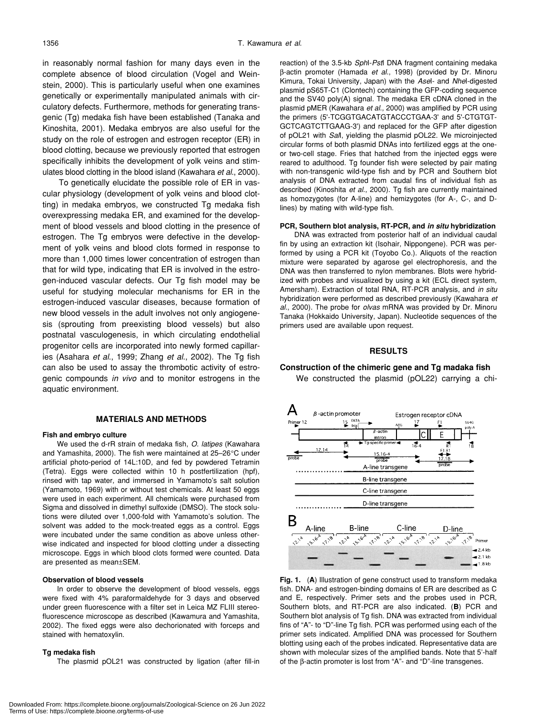in reasonably normal fashion for many days even in the complete absence of blood circulation (Vogel and Weinstein, 2000). This is particularly useful when one examines genetically or experimentally manipulated animals with circulatory defects. Furthermore, methods for generating transgenic (Tg) medaka fish have been established (Tanaka and Kinoshita, 2001). Medaka embryos are also useful for the study on the role of estrogen and estrogen receptor (ER) in blood clotting, because we previously reported that estrogen specifically inhibits the development of yolk veins and stimulates blood clotting in the blood island (Kawahara *et al*., 2000).

To genetically elucidate the possible role of ER in vascular physiology (development of yolk veins and blood clotting) in medaka embryos, we constructed Tg medaka fish overexpressing medaka ER, and examined for the development of blood vessels and blood clotting in the presence of estrogen. The Tg embryos were defective in the development of yolk veins and blood clots formed in response to more than 1,000 times lower concentration of estrogen than that for wild type, indicating that ER is involved in the estrogen-induced vascular defects. Our Tg fish model may be useful for studying molecular mechanisms for ER in the estrogen-induced vascular diseases, because formation of new blood vessels in the adult involves not only angiogenesis (sprouting from preexisting blood vessels) but also postnatal vasculogenesis, in which circulating endothelial progenitor cells are incorporated into newly formed capillaries (Asahara *et al*., 1999; Zhang *et al*., 2002). The Tg fish can also be used to assay the thrombotic activity of estrogenic compounds *in vivo* and to monitor estrogens in the aquatic environment.

#### **MATERIALS AND METHODS**

#### **Fish and embryo culture**

We used the d-rR strain of medaka fish, *O. latipes* (Kawahara and Yamashita, 2000). The fish were maintained at 25–26°C under artificial photo-period of 14L:10D, and fed by powdered Tetramin (Tetra). Eggs were collected within 10 h postfertilization (hpf), rinsed with tap water, and immersed in Yamamoto's salt solution (Yamamoto, 1969) with or without test chemicals. At least 50 eggs were used in each experiment. All chemicals were purchased from Sigma and dissolved in dimethyl sulfoxide (DMSO). The stock solutions were diluted over 1,000-fold with Yamamoto's solution. The solvent was added to the mock-treated eggs as a control. Eggs were incubated under the same condition as above unless otherwise indicated and inspected for blood clotting under a dissecting microscope. Eggs in which blood clots formed were counted. Data are presented as mean±SEM.

#### **Observation of blood vessels**

In order to observe the development of blood vessels, eggs were fixed with 4% paraformaldehyde for 3 days and observed under green fluorescence with a filter set in Leica MZ FLIII stereofluorescence microscope as described (Kawamura and Yamashita, 2002). The fixed eggs were also dechorionated with forceps and stained with hematoxylin.

#### **Tg medaka fish**

The plasmid pOL21 was constructed by ligation (after fill-in

reaction) of the 3.5-kb *Sph*I-*Pst*I DNA fragment containing medaka β-actin promoter (Hamada *et al*., 1998) (provided by Dr. Minoru Kimura, Tokai University, Japan) with the *Ase*I- and *Nhe*I-digested plasmid pS65T-C1 (Clontech) containing the GFP-coding sequence and the SV40 poly(A) signal. The medaka ER cDNA cloned in the plasmid pMER (Kawahara *et al*., 2000) was amplified by PCR using the primers (5'-TCGGTGACATGTACCCTGAA-3' and 5'-CTGTGT-GCTCAGTCTTGAAG-3') and replaced for the GFP after digestion of pOL21 with *Sal*I, yielding the plasmid pOL22. We microinjected circular forms of both plasmid DNAs into fertilized eggs at the oneor two-cell stage. Fries that hatched from the injected eggs were reared to adulthood. Tg founder fish were selected by pair mating with non-transgenic wild-type fish and by PCR and Southern blot analysis of DNA extracted from caudal fins of individual fish as described (Kinoshita *et al*., 2000). Tg fish are currently maintained as homozygotes (for A-line) and hemizygotes (for A-, C-, and Dlines) by mating with wild-type fish.

#### **PCR, Southern blot analysis, RT-PCR, and** *in situ* **hybridization**

DNA was extracted from posterior half of an individual caudal fin by using an extraction kit (Isohair, Nippongene). PCR was performed by using a PCR kit (Toyobo Co.). Aliquots of the reaction mixture were separated by agarose gel electrophoresis, and the DNA was then transferred to nylon membranes. Blots were hybridized with probes and visualized by using a kit (ECL direct system, Amersham). Extraction of total RNA, RT-PCR analysis, and *in situ* hybridization were performed as described previously (Kawahara *et al*., 2000). The probe for *olvas* mRNA was provided by Dr. Minoru Tanaka (Hokkaido University, Japan). Nucleotide sequences of the primers used are available upon request.

#### **RESULTS**



#### **Fig. 1.** (**A**) Illustration of gene construct used to transform medaka fish. DNA- and estrogen-binding domains of ER are described as C and E, respectively. Primer sets and the probes used in PCR, Southern blots, and RT-PCR are also indicated. (**B**) PCR and Southern blot analysis of Tg fish. DNA was extracted from individual fins of "A"- to "D"-line Tg fish. PCR was performed using each of the primer sets indicated. Amplified DNA was processed for Southern blotting using each of the probes indicated. Representative data are shown with molecular sizes of the amplified bands. Note that 5'-half of the β-actin promoter is lost from "A"- and "D"-line transgenes.

# **Construction of the chimeric gene and Tg madaka fish** We constructed the plasmid (pOL22) carrying a chi-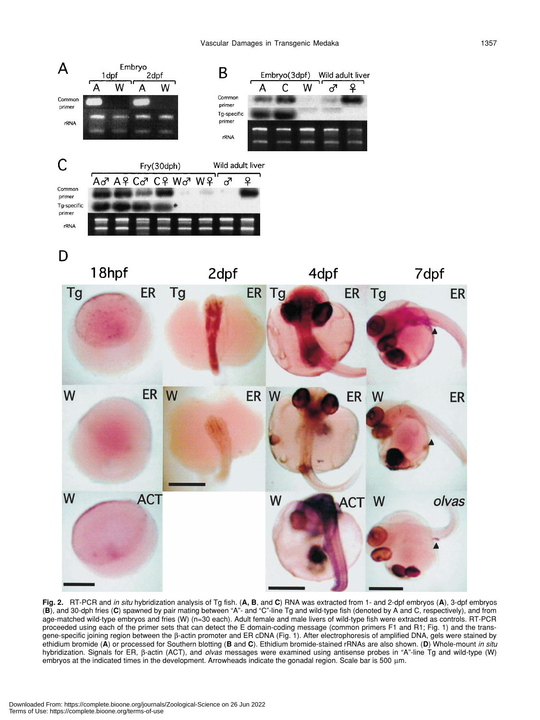

**Fig. 2.** RT-PCR and *in situ* hybridization analysis of Tg fish. (**A, B**, and **C**) RNA was extracted from 1- and 2-dpf embryos (**A**), 3-dpf embryos (**B**), and 30-dph fries (**C**) spawned by pair mating between "A"- and "C"-line Tg and wild-type fish (denoted by A and C, respectively), and from age-matched wild-type embryos and fries (W) (n=30 each). Adult female and male livers of wild-type fish were extracted as controls. RT-PCR proceeded using each of the primer sets that can detect the E domain-coding message (common primers F1 and R1; Fig. 1) and the transgene-specific joining region between the β-actin promoter and ER cDNA (Fig. 1). After electrophoresis of amplified DNA, gels were stained by ethidium bromide (**A**) or processed for Southern blotting (**B** and **C**). Ethidium bromide-stained rRNAs are also shown. (**D**) Whole-mount *in situ* hybridization. Signals for ER, β-actin (ACT), and *olvas* messages were examined using antisense probes in "A"-line Tg and wild-type (W) embryos at the indicated times in the development. Arrowheads indicate the gonadal region. Scale bar is 500  $\mu$ m.

ER

**ER**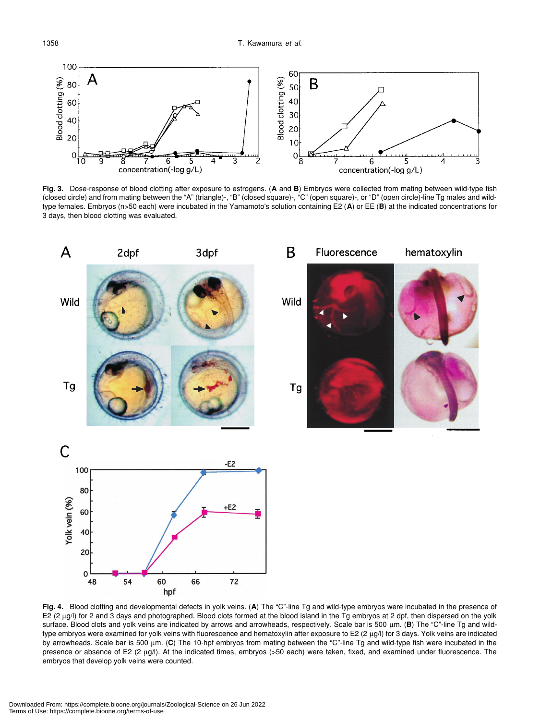

**Fig. 3.** Dose-response of blood clotting after exposure to estrogens. (**A** and **B**) Embryos were collected from mating between wild-type fish (closed circle) and from mating between the "A" (triangle)-, "B" (closed square)-, "C" (open square)-, or "D" (open circle)-line Tg males and wildtype females. Embryos (n>50 each) were incubated in the Yamamoto's solution containing E2 (**A**) or EE (**B**) at the indicated concentrations for 3 days, then blood clotting was evaluated.



**Fig. 4.** Blood clotting and developmental defects in yolk veins. (**A**) The "C"-line Tg and wild-type embryos were incubated in the presence of E2 (2 µg/l) for 2 and 3 days and photographed. Blood clots formed at the blood island in the Tg embryos at 2 dpf, then dispersed on the yolk surface. Blood clots and yolk veins are indicated by arrows and arrowheads, respectively. Scale bar is 500 µm. (**B**) The "C"-line Tg and wildtype embryos were examined for yolk veins with fluorescence and hematoxylin after exposure to E2 (2 µg/l) for 3 days. Yolk veins are indicated by arrowheads. Scale bar is 500 µm. (**C**) The 10-hpf embryos from mating between the "C"-line Tg and wild-type fish were incubated in the presence or absence of E2 (2 µg/l). At the indicated times, embryos (>50 each) were taken, fixed, and examined under fluorescence. The embryos that develop yolk veins were counted.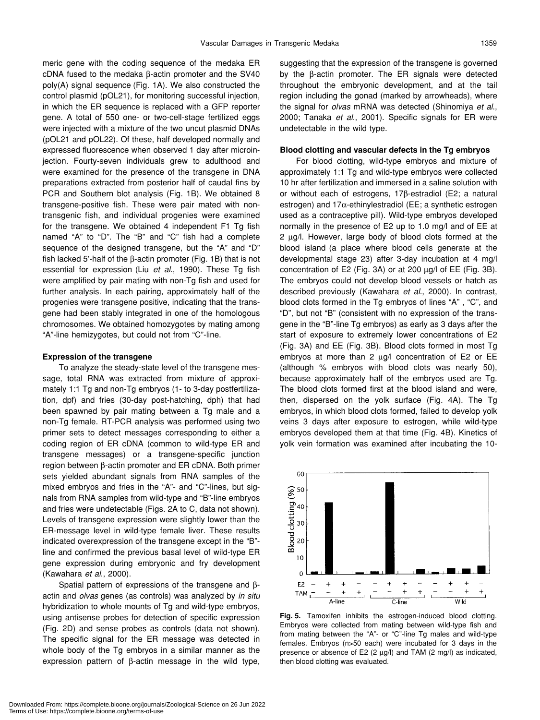meric gene with the coding sequence of the medaka ER cDNA fused to the medaka β-actin promoter and the SV40 poly(A) signal sequence (Fig. 1A). We also constructed the control plasmid (pOL21), for monitoring successful injection, in which the ER sequence is replaced with a GFP reporter gene. A total of 550 one- or two-cell-stage fertilized eggs were injected with a mixture of the two uncut plasmid DNAs (pOL21 and pOL22). Of these, half developed normally and expressed fluorescence when observed 1 day after microinjection. Fourty-seven individuals grew to adulthood and were examined for the presence of the transgene in DNA preparations extracted from posterior half of caudal fins by PCR and Southern blot analysis (Fig. 1B). We obtained 8 transgene-positive fish. These were pair mated with nontransgenic fish, and individual progenies were examined for the transgene. We obtained 4 independent F1 Tg fish named "A" to "D". The "B" and "C" fish had a complete sequence of the designed transgene, but the "A" and "D" fish lacked 5'-half of the β-actin promoter (Fig. 1B) that is not essential for expression (Liu *et al*., 1990). These Tg fish were amplified by pair mating with non-Tg fish and used for further analysis. In each pairing, approximately half of the progenies were transgene positive, indicating that the transgene had been stably integrated in one of the homologous chromosomes. We obtained homozygotes by mating among "A"-line hemizygotes, but could not from "C"-line.

#### **Expression of the transgene**

To analyze the steady-state level of the transgene message, total RNA was extracted from mixture of approximately 1:1 Tg and non-Tg embryos (1- to 3-day postfertilization, dpf) and fries (30-day post-hatching, dph) that had been spawned by pair mating between a Tg male and a non-Tg female. RT-PCR analysis was performed using two primer sets to detect messages corresponding to either a coding region of ER cDNA (common to wild-type ER and transgene messages) or a transgene-specific junction region between β-actin promoter and ER cDNA. Both primer sets yielded abundant signals from RNA samples of the mixed embryos and fries in the "A"- and "C"-lines, but signals from RNA samples from wild-type and "B"-line embryos and fries were undetectable (Figs. 2A to C, data not shown). Levels of transgene expression were slightly lower than the ER-message level in wild-type female liver. These results indicated overexpression of the transgene except in the "B" line and confirmed the previous basal level of wild-type ER gene expression during embryonic and fry development (Kawahara *et al*., 2000).

Spatial pattern of expressions of the transgene and βactin and *olvas* genes (as controls) was analyzed by *in situ* hybridization to whole mounts of Tg and wild-type embryos, using antisense probes for detection of specific expression (Fig. 2D) and sense probes as controls (data not shown). The specific signal for the ER message was detected in whole body of the Tg embryos in a similar manner as the expression pattern of β-actin message in the wild type, suggesting that the expression of the transgene is governed by the β-actin promoter. The ER signals were detected throughout the embryonic development, and at the tail region including the gonad (marked by arrowheads), where the signal for *olvas* mRNA was detected (Shinomiya *et al*., 2000; Tanaka *et al*., 2001). Specific signals for ER were undetectable in the wild type.

#### **Blood clotting and vascular defects in the Tg embryos**

For blood clotting, wild-type embryos and mixture of approximately 1:1 Tg and wild-type embryos were collected 10 hr after fertilization and immersed in a saline solution with or without each of estrogens, 17β-estradiol (E2; a natural estrogen) and 17α-ethinylestradiol (EE; a synthetic estrogen used as a contraceptive pill). Wild-type embryos developed normally in the presence of E2 up to 1.0 mg/l and of EE at 2 µg/l. However, large body of blood clots formed at the blood island (a place where blood cells generate at the developmental stage 23) after 3-day incubation at 4 mg/l concentration of E2 (Fig. 3A) or at 200 µg/l of EE (Fig. 3B). The embryos could not develop blood vessels or hatch as described previously (Kawahara *et al*., 2000). In contrast, blood clots formed in the Tg embryos of lines "A" , "C", and "D", but not "B" (consistent with no expression of the transgene in the "B"-line Tg embryos) as early as 3 days after the start of exposure to extremely lower concentrations of E2 (Fig. 3A) and EE (Fig. 3B). Blood clots formed in most Tg embryos at more than 2  $\mu$ g/l concentration of E2 or EE (although % embryos with blood clots was nearly 50), because approximately half of the embryos used are Tg. The blood clots formed first at the blood island and were, then, dispersed on the yolk surface (Fig. 4A). The Tg embryos, in which blood clots formed, failed to develop yolk veins 3 days after exposure to estrogen, while wild-type embryos developed them at that time (Fig. 4B). Kinetics of yolk vein formation was examined after incubating the 10-



**Fig. 5.** Tamoxifen inhibits the estrogen-induced blood clotting. Embryos were collected from mating between wild-type fish and from mating between the "A"- or "C"-line Tg males and wild-type females. Embryos (n>50 each) were incubated for 3 days in the presence or absence of E2 (2 µg/l) and TAM (2 mg/l) as indicated, then blood clotting was evaluated.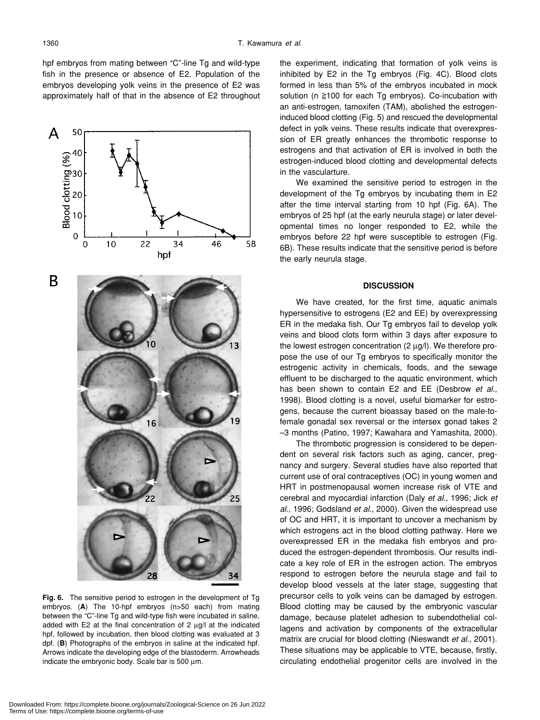hpf embryos from mating between "C"-line Tg and wild-type fish in the presence or absence of E2. Population of the embryos developing yolk veins in the presence of E2 was approximately half of that in the absence of E2 throughout



**Fig. 6.** The sensitive period to estrogen in the development of Tg embryos. (**A**) The 10-hpf embryos (n>50 each) from mating between the "C"-line Tg and wild-type fish were incubated in saline, added with E2 at the final concentration of 2  $\mu$ g/l at the indicated hpf, followed by incubation, then blood clotting was evaluated at 3 dpf. (**B**) Photographs of the embryos in saline at the indicated hpf. Arrows indicate the developing edge of the blastoderm. Arrowheads indicate the embryonic body. Scale bar is 500 µm.

the experiment, indicating that formation of yolk veins is inhibited by E2 in the Tg embryos (Fig. 4C). Blood clots formed in less than 5% of the embryos incubated in mock solution ( $n \ge 100$  for each Tg embryos). Co-incubation with an anti-estrogen, tamoxifen (TAM), abolished the estrogeninduced blood clotting (Fig. 5) and rescued the developmental defect in yolk veins. These results indicate that overexpression of ER greatly enhances the thrombotic response to estrogens and that activation of ER is involved in both the estrogen-induced blood clotting and developmental defects in the vascularture.

We examined the sensitive period to estrogen in the development of the Tg embryos by incubating them in E2 after the time interval starting from 10 hpf (Fig. 6A). The embryos of 25 hpf (at the early neurula stage) or later developmental times no longer responded to E2, while the embryos before 22 hpf were susceptible to estrogen (Fig. 6B). These results indicate that the sensitive period is before the early neurula stage.

#### **DISCUSSION**

We have created, for the first time, aquatic animals hypersensitive to estrogens (E2 and EE) by overexpressing ER in the medaka fish. Our Tg embryos fail to develop yolk veins and blood clots form within 3 days after exposure to the lowest estrogen concentration (2 µg/l). We therefore propose the use of our Tg embryos to specifically monitor the estrogenic activity in chemicals, foods, and the sewage effluent to be discharged to the aquatic environment, which has been shown to contain E2 and EE (Desbrow *et al*., 1998). Blood clotting is a novel, useful biomarker for estrogens, because the current bioassay based on the male-tofemale gonadal sex reversal or the intersex gonad takes 2 –3 months (Patino, 1997; Kawahara and Yamashita, 2000).

The thrombotic progression is considered to be dependent on several risk factors such as aging, cancer, pregnancy and surgery. Several studies have also reported that current use of oral contraceptives (OC) in young women and HRT in postmenopausal women increase risk of VTE and cerebral and myocardial infarction (Daly *et al*., 1996; Jick *et al*., 1996; Godsland *et al*., 2000). Given the widespread use of OC and HRT, it is important to uncover a mechanism by which estrogens act in the blood clotting pathway. Here we overexpressed ER in the medaka fish embryos and produced the estrogen-dependent thrombosis. Our results indicate a key role of ER in the estrogen action. The embryos respond to estrogen before the neurula stage and fail to develop blood vessels at the later stage, suggesting that precursor cells to yolk veins can be damaged by estrogen. Blood clotting may be caused by the embryonic vascular damage, because platelet adhesion to subendothelial collagens and activation by components of the extracellular matrix are crucial for blood clotting (Nieswandt *et al*., 2001). These situations may be applicable to VTE, because, firstly, circulating endothelial progenitor cells are involved in the